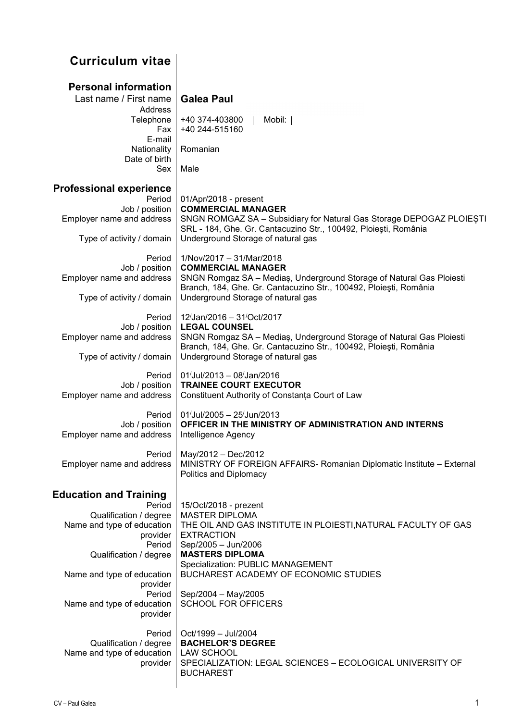## **Curriculum vitae**

| <b>Personal information</b><br>Last name / First name<br>Address<br>Telephone<br>Fax<br>E-mail<br>Nationality<br>Date of birth<br><b>Sex</b>                                                                                                  | <b>Galea Paul</b><br>+40 374-403800<br>Mobil:<br>+40 244-515160<br>Romanian<br>Male                                                                                                                                                                                                                                      |
|-----------------------------------------------------------------------------------------------------------------------------------------------------------------------------------------------------------------------------------------------|--------------------------------------------------------------------------------------------------------------------------------------------------------------------------------------------------------------------------------------------------------------------------------------------------------------------------|
| <b>Professional experience</b><br>Period<br>Job / position<br>Employer name and address<br>Type of activity / domain                                                                                                                          | 01/Apr/2018 - present<br><b>COMMERCIAL MANAGER</b><br>SNGN ROMGAZ SA - Subsidiary for Natural Gas Storage DEPOGAZ PLOIEȘTI<br>SRL - 184, Ghe. Gr. Cantacuzino Str., 100492, Ploiești, România<br>Underground Storage of natural gas                                                                                      |
| Period<br>Job / position<br>Employer name and address<br>Type of activity / domain                                                                                                                                                            | 1/Nov/2017 - 31/Mar/2018<br><b>COMMERCIAL MANAGER</b><br>SNGN Romgaz SA - Medias, Underground Storage of Natural Gas Ploiesti<br>Branch, 184, Ghe. Gr. Cantacuzino Str., 100492, Ploiești, România<br>Underground Storage of natural gas                                                                                 |
| Period<br>Job / position<br>Employer name and address<br>Type of activity / domain                                                                                                                                                            | 12/Jan/2016 - 31/Oct/2017<br><b>LEGAL COUNSEL</b><br>SNGN Romgaz SA - Medias, Underground Storage of Natural Gas Ploiesti<br>Branch, 184, Ghe. Gr. Cantacuzino Str., 100492, Ploiești, România<br>Underground Storage of natural gas                                                                                     |
| Period<br>Job / position<br>Employer name and address                                                                                                                                                                                         | 01/Jul/2013 - 08/Jan/2016<br><b>TRAINEE COURT EXECUTOR</b><br>Constituent Authority of Constanța Court of Law                                                                                                                                                                                                            |
| Period<br>Job / position<br>Employer name and address                                                                                                                                                                                         | 01/Jul/2005 - 25/Jun/2013<br>OFFICER IN THE MINISTRY OF ADMINISTRATION AND INTERNS<br>Intelligence Agency                                                                                                                                                                                                                |
| Period<br>Employer name and address                                                                                                                                                                                                           | May/2012 - Dec/2012<br>MINISTRY OF FOREIGN AFFAIRS- Romanian Diplomatic Institute - External<br>Politics and Diplomacy                                                                                                                                                                                                   |
| <b>Education and Training</b><br>Period<br>Qualification / degree<br>Name and type of education<br>provider<br>Period<br>Qualification / degree<br>Name and type of education<br>provider<br>Period<br>Name and type of education<br>provider | 15/Oct/2018 - prezent<br><b>MASTER DIPLOMA</b><br>THE OIL AND GAS INSTITUTE IN PLOIESTI, NATURAL FACULTY OF GAS<br><b>EXTRACTION</b><br>Sep/2005 - Jun/2006<br><b>MASTERS DIPLOMA</b><br>Specialization: PUBLIC MANAGEMENT<br>BUCHAREST ACADEMY OF ECONOMIC STUDIES<br>Sep/2004 - May/2005<br><b>SCHOOL FOR OFFICERS</b> |
| Period<br>Qualification / degree<br>Name and type of education<br>provider                                                                                                                                                                    | Oct/1999 - Jul/2004<br><b>BACHELOR'S DEGREE</b><br><b>LAW SCHOOL</b><br>SPECIALIZATION: LEGAL SCIENCES - ECOLOGICAL UNIVERSITY OF<br><b>BUCHAREST</b>                                                                                                                                                                    |